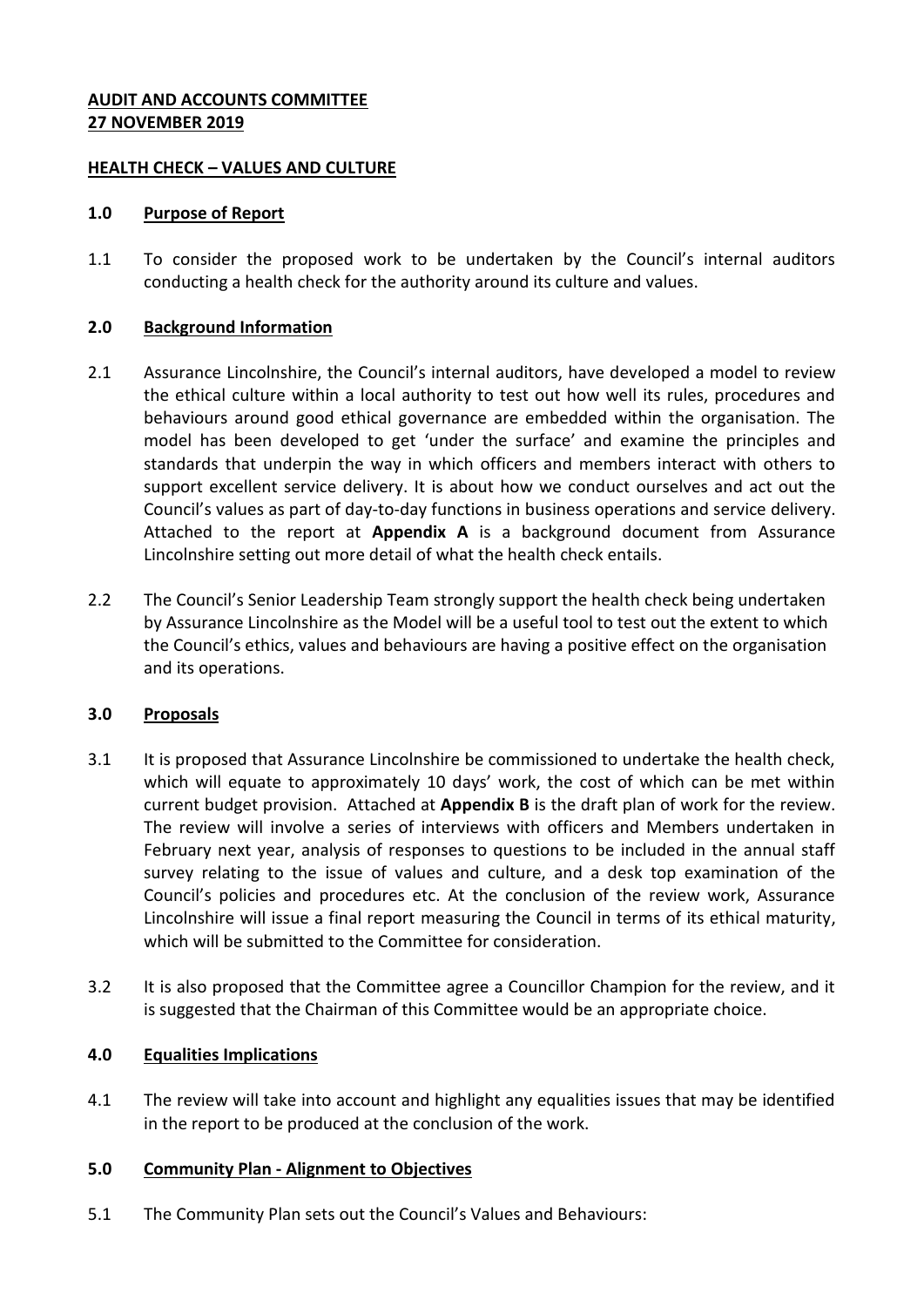#### **AUDIT AND ACCOUNTS COMMITTEE 27 NOVEMBER 2019**

#### **HEALTH CHECK – VALUES AND CULTURE**

#### **1.0 Purpose of Report**

1.1 To consider the proposed work to be undertaken by the Council's internal auditors conducting a health check for the authority around its culture and values.

#### **2.0 Background Information**

- 2.1 Assurance Lincolnshire, the Council's internal auditors, have developed a model to review the ethical culture within a local authority to test out how well its rules, procedures and behaviours around good ethical governance are embedded within the organisation. The model has been developed to get 'under the surface' and examine the principles and standards that underpin the way in which officers and members interact with others to support excellent service delivery. It is about how we conduct ourselves and act out the Council's values as part of day-to-day functions in business operations and service delivery. Attached to the report at **Appendix A** is a background document from Assurance Lincolnshire setting out more detail of what the health check entails.
- 2.2 The Council's Senior Leadership Team strongly support the health check being undertaken by Assurance Lincolnshire as the Model will be a useful tool to test out the extent to which the Council's ethics, values and behaviours are having a positive effect on the organisation and its operations.

## **3.0 Proposals**

- 3.1 It is proposed that Assurance Lincolnshire be commissioned to undertake the health check, which will equate to approximately 10 days' work, the cost of which can be met within current budget provision. Attached at **Appendix B** is the draft plan of work for the review. The review will involve a series of interviews with officers and Members undertaken in February next year, analysis of responses to questions to be included in the annual staff survey relating to the issue of values and culture, and a desk top examination of the Council's policies and procedures etc. At the conclusion of the review work, Assurance Lincolnshire will issue a final report measuring the Council in terms of its ethical maturity, which will be submitted to the Committee for consideration.
- 3.2 It is also proposed that the Committee agree a Councillor Champion for the review, and it is suggested that the Chairman of this Committee would be an appropriate choice.

## **4.0 Equalities Implications**

4.1 The review will take into account and highlight any equalities issues that may be identified in the report to be produced at the conclusion of the work.

## **5.0 Community Plan - Alignment to Objectives**

5.1 The Community Plan sets out the Council's Values and Behaviours: